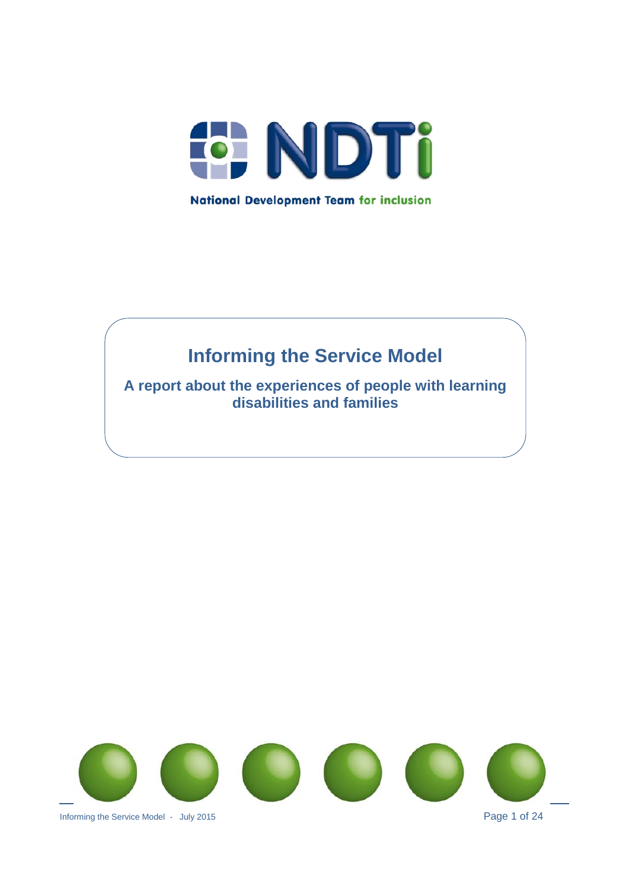

# **Informing the Service Model**

**A report about the experiences of people with learning disabilities and families**

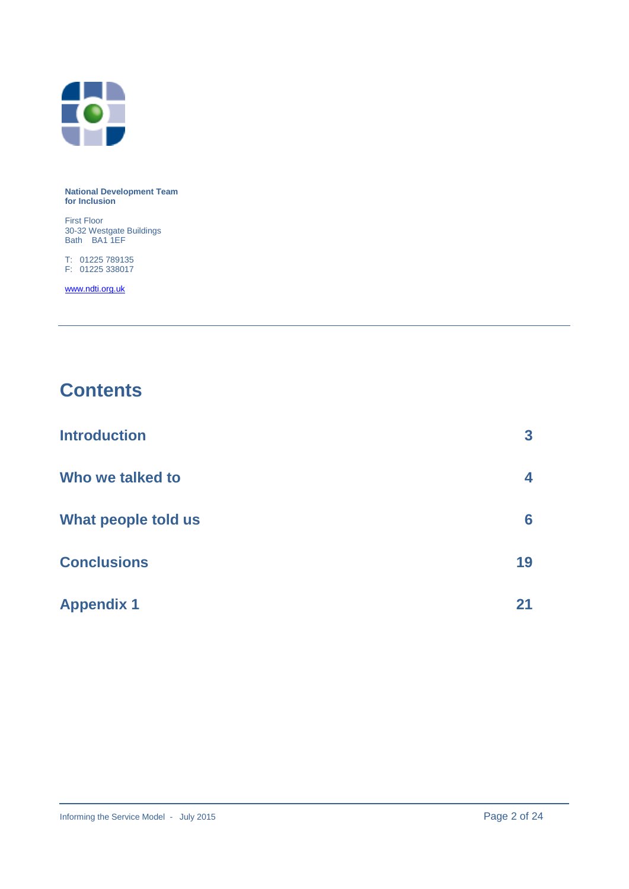

#### **National Development Team for Inclusion**

First Floor 30-32 Westgate Buildings Bath BA1 1EF

T: 01225 789135 F: 01225 338017

[www.ndti.org.uk](http://www.ndti.org.uk/)

## **Contents**

| <b>Introduction</b> | 3  |
|---------------------|----|
| Who we talked to    | 4  |
| What people told us | 6  |
| <b>Conclusions</b>  | 19 |
| <b>Appendix 1</b>   | 21 |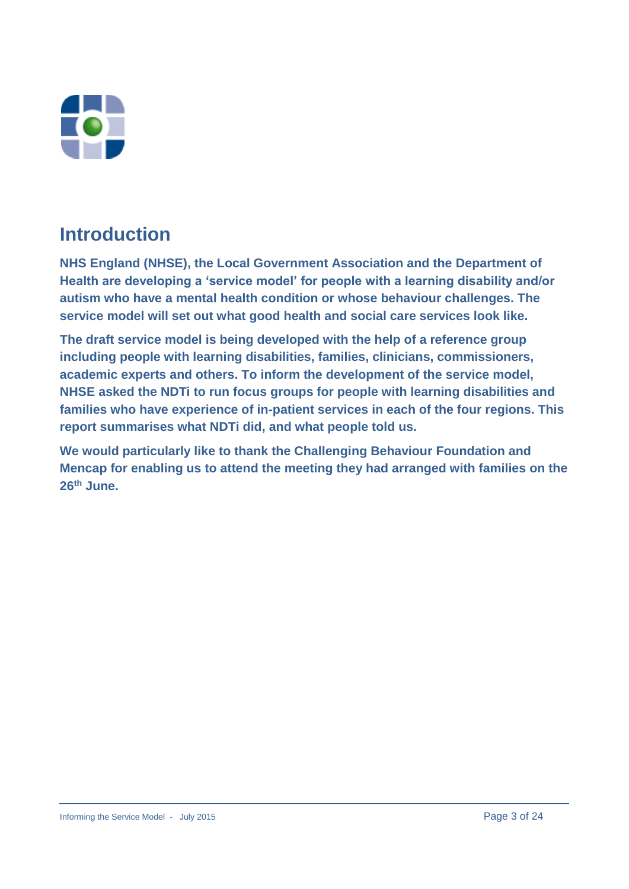

## **Introduction**

**NHS England (NHSE), the Local Government Association and the Department of Health are developing a 'service model' for people with a learning disability and/or autism who have a mental health condition or whose behaviour challenges. The service model will set out what good health and social care services look like.**

**The draft service model is being developed with the help of a reference group including people with learning disabilities, families, clinicians, commissioners, academic experts and others. To inform the development of the service model, NHSE asked the NDTi to run focus groups for people with learning disabilities and families who have experience of in-patient services in each of the four regions. This report summarises what NDTi did, and what people told us.**

**We would particularly like to thank the Challenging Behaviour Foundation and Mencap for enabling us to attend the meeting they had arranged with families on the 26th June.**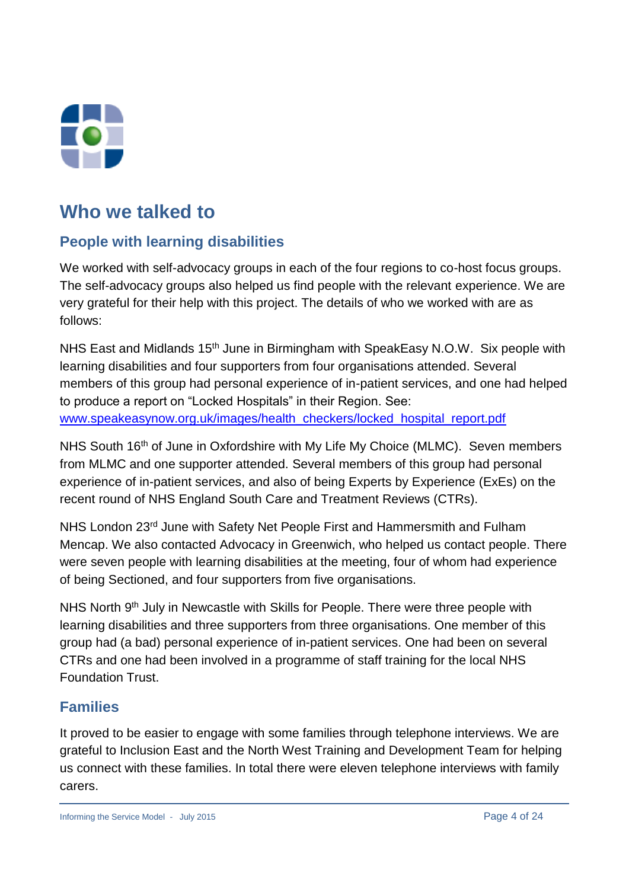

## **Who we talked to**

## **People with learning disabilities**

We worked with self-advocacy groups in each of the four regions to co-host focus groups. The self-advocacy groups also helped us find people with the relevant experience. We are very grateful for their help with this project. The details of who we worked with are as follows:

NHS East and Midlands 15<sup>th</sup> June in Birmingham with SpeakEasy N.O.W. Six people with learning disabilities and four supporters from four organisations attended. Several members of this group had personal experience of in-patient services, and one had helped to produce a report on "Locked Hospitals" in their Region. See: [www.speakeasynow.org.uk/images/health\\_checkers/locked\\_hospital\\_report.pdf](http://www.speakeasynow.org.uk/images/health_checkers/locked_hospital_report.pdf) 

NHS South 16th of June in Oxfordshire with My Life My Choice (MLMC). Seven members from MLMC and one supporter attended. Several members of this group had personal experience of in-patient services, and also of being Experts by Experience (ExEs) on the recent round of NHS England South Care and Treatment Reviews (CTRs).

NHS London 23rd June with Safety Net People First and Hammersmith and Fulham Mencap. We also contacted Advocacy in Greenwich, who helped us contact people. There were seven people with learning disabilities at the meeting, four of whom had experience of being Sectioned, and four supporters from five organisations.

NHS North 9th July in Newcastle with Skills for People. There were three people with learning disabilities and three supporters from three organisations. One member of this group had (a bad) personal experience of in-patient services. One had been on several CTRs and one had been involved in a programme of staff training for the local NHS Foundation Trust.

## **Families**

It proved to be easier to engage with some families through telephone interviews. We are grateful to Inclusion East and the North West Training and Development Team for helping us connect with these families. In total there were eleven telephone interviews with family carers.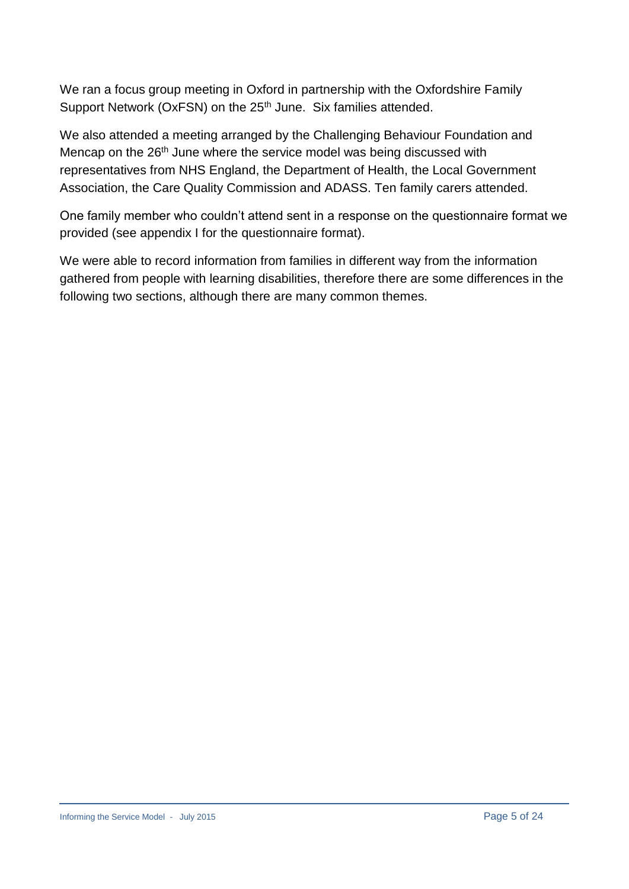We ran a focus group meeting in Oxford in partnership with the Oxfordshire Family Support Network (OxFSN) on the 25<sup>th</sup> June. Six families attended.

We also attended a meeting arranged by the Challenging Behaviour Foundation and Mencap on the 26<sup>th</sup> June where the service model was being discussed with representatives from NHS England, the Department of Health, the Local Government Association, the Care Quality Commission and ADASS. Ten family carers attended.

One family member who couldn't attend sent in a response on the questionnaire format we provided (see appendix I for the questionnaire format).

We were able to record information from families in different way from the information gathered from people with learning disabilities, therefore there are some differences in the following two sections, although there are many common themes.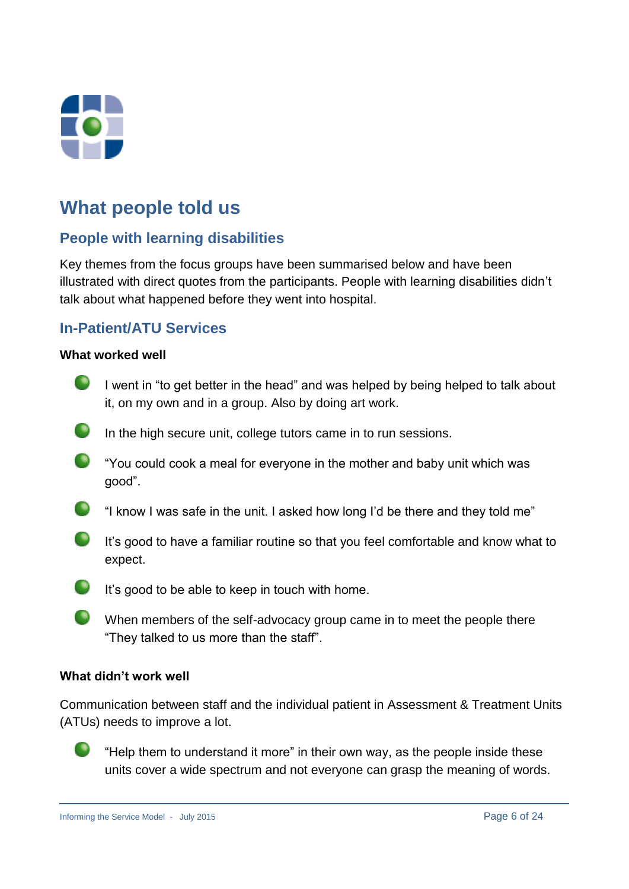

## **What people told us**

## **People with learning disabilities**

Key themes from the focus groups have been summarised below and have been illustrated with direct quotes from the participants. People with learning disabilities didn't talk about what happened before they went into hospital.

## **In-Patient/ATU Services**

#### **What worked well**

- I went in "to get better in the head" and was helped by being helped to talk about it, on my own and in a group. Also by doing art work.
- $\bullet$ In the high secure unit, college tutors came in to run sessions.
- $\bullet$ "You could cook a meal for everyone in the mother and baby unit which was good".
- $\bullet$ "I know I was safe in the unit. I asked how long I'd be there and they told me"
- $\bullet$ It's good to have a familiar routine so that you feel comfortable and know what to expect.
- $\bullet$ It's good to be able to keep in touch with home.
- $\bullet$ When members of the self-advocacy group came in to meet the people there "They talked to us more than the staff".

#### **What didn't work well**

Communication between staff and the individual patient in Assessment & Treatment Units (ATUs) needs to improve a lot.



"Help them to understand it more" in their own way, as the people inside these units cover a wide spectrum and not everyone can grasp the meaning of words.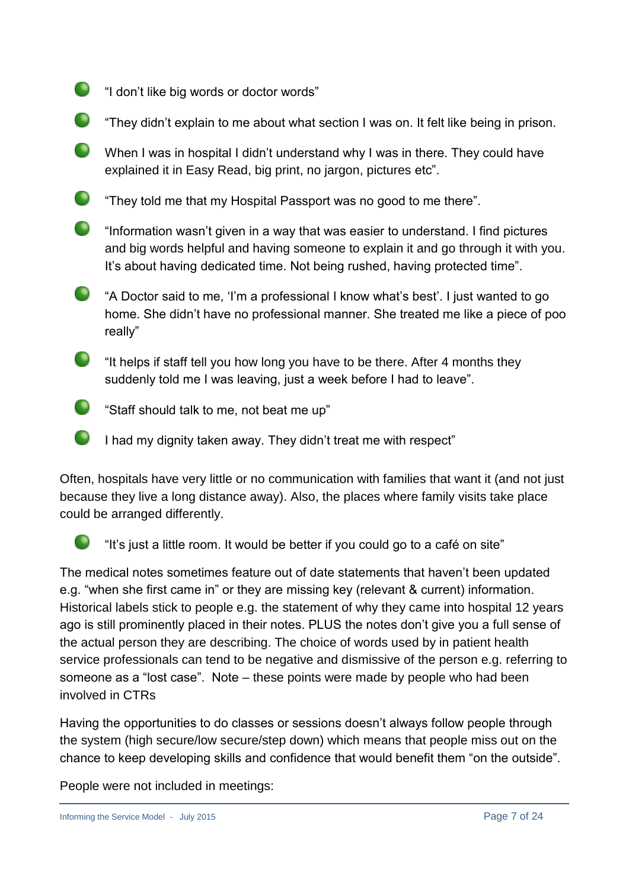- "I don't like big words or doctor words"
- "They didn't explain to me about what section I was on. It felt like being in prison.
- $\bullet$ When I was in hospital I didn't understand why I was in there. They could have explained it in Easy Read, big print, no jargon, pictures etc".
- $\bullet$ "They told me that my Hospital Passport was no good to me there".
- "Information wasn't given in a way that was easier to understand. I find pictures and big words helpful and having someone to explain it and go through it with you. It's about having dedicated time. Not being rushed, having protected time".
- $\bullet$ "A Doctor said to me, 'I'm a professional I know what's best'. I just wanted to go home. She didn't have no professional manner. She treated me like a piece of poo really"
- "It helps if staff tell you how long you have to be there. After 4 months they suddenly told me I was leaving, just a week before I had to leave".
- **Staff should talk to me, not beat me up"**
- $\bullet$ I had my dignity taken away. They didn't treat me with respect"

Often, hospitals have very little or no communication with families that want it (and not just because they live a long distance away). Also, the places where family visits take place could be arranged differently.

 $\blacksquare$ 

"It's just a little room. It would be better if you could go to a café on site"

The medical notes sometimes feature out of date statements that haven't been updated e.g. "when she first came in" or they are missing key (relevant & current) information. Historical labels stick to people e.g. the statement of why they came into hospital 12 years ago is still prominently placed in their notes. PLUS the notes don't give you a full sense of the actual person they are describing. The choice of words used by in patient health service professionals can tend to be negative and dismissive of the person e.g. referring to someone as a "lost case". Note – these points were made by people who had been involved in CTRs

Having the opportunities to do classes or sessions doesn't always follow people through the system (high secure/low secure/step down) which means that people miss out on the chance to keep developing skills and confidence that would benefit them "on the outside".

People were not included in meetings: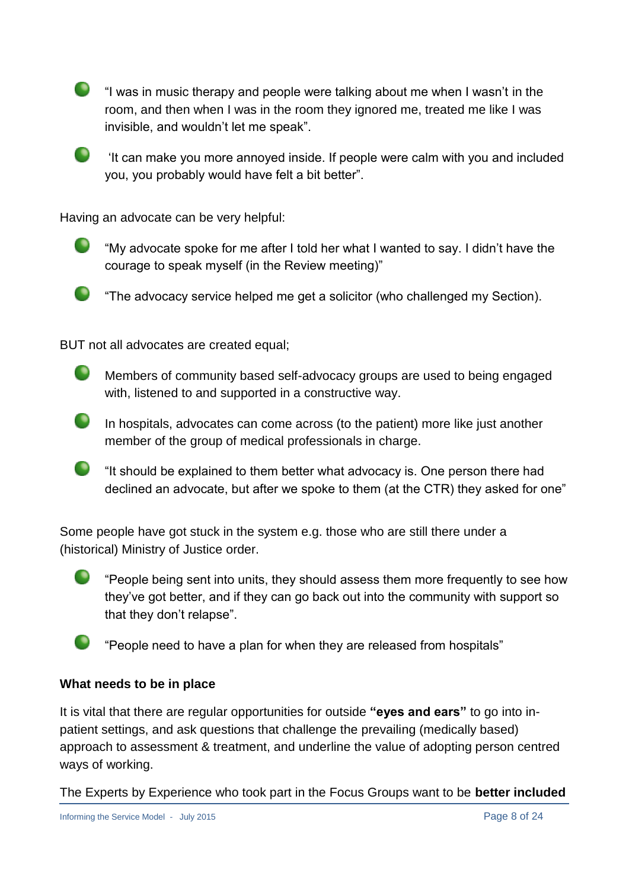"I was in music therapy and people were talking about me when I wasn't in the room, and then when I was in the room they ignored me, treated me like I was invisible, and wouldn't let me speak".

It can make you more annoyed inside. If people were calm with you and included you, you probably would have felt a bit better".

Having an advocate can be very helpful:



**The advocacy service helped me get a solicitor (who challenged my Section).** 

BUT not all advocates are created equal;

Members of community based self-advocacy groups are used to being engaged with, listened to and supported in a constructive way.

 $\blacksquare$ In hospitals, advocates can come across (to the patient) more like just another member of the group of medical professionals in charge.

 $\bullet$ "It should be explained to them better what advocacy is. One person there had declined an advocate, but after we spoke to them (at the CTR) they asked for one"

Some people have got stuck in the system e.g. those who are still there under a (historical) Ministry of Justice order.

 $\bullet$ "People being sent into units, they should assess them more frequently to see how they've got better, and if they can go back out into the community with support so that they don't relapse".

"People need to have a plan for when they are released from hospitals"

#### **What needs to be in place**

It is vital that there are regular opportunities for outside **"eyes and ears"** to go into inpatient settings, and ask questions that challenge the prevailing (medically based) approach to assessment & treatment, and underline the value of adopting person centred ways of working.

The Experts by Experience who took part in the Focus Groups want to be **better included**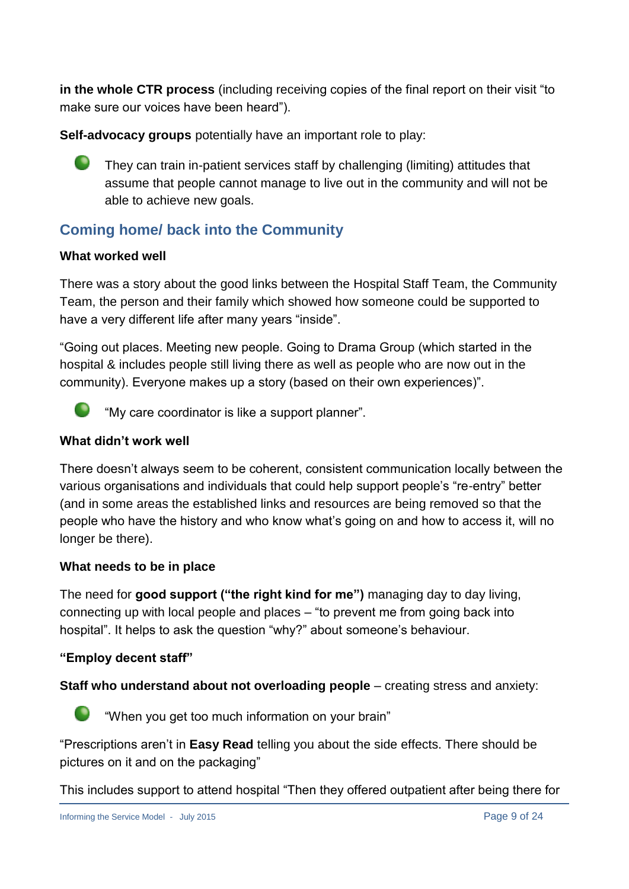**in the whole CTR process** (including receiving copies of the final report on their visit "to make sure our voices have been heard").

**Self-advocacy groups** potentially have an important role to play:



## **Coming home/ back into the Community**

### **What worked well**

There was a story about the good links between the Hospital Staff Team, the Community Team, the person and their family which showed how someone could be supported to have a very different life after many years "inside".

"Going out places. Meeting new people. Going to Drama Group (which started in the hospital & includes people still living there as well as people who are now out in the community). Everyone makes up a story (based on their own experiences)".



"My care coordinator is like a support planner".

#### **What didn't work well**

There doesn't always seem to be coherent, consistent communication locally between the various organisations and individuals that could help support people's "re-entry" better (and in some areas the established links and resources are being removed so that the people who have the history and who know what's going on and how to access it, will no longer be there).

#### **What needs to be in place**

The need for **good support ("the right kind for me")** managing day to day living, connecting up with local people and places – "to prevent me from going back into hospital". It helps to ask the question "why?" about someone's behaviour.

### **"Employ decent staff"**

**Staff who understand about not overloading people** – creating stress and anxiety:



"When you get too much information on your brain"

"Prescriptions aren't in **Easy Read** telling you about the side effects. There should be pictures on it and on the packaging"

This includes support to attend hospital "Then they offered outpatient after being there for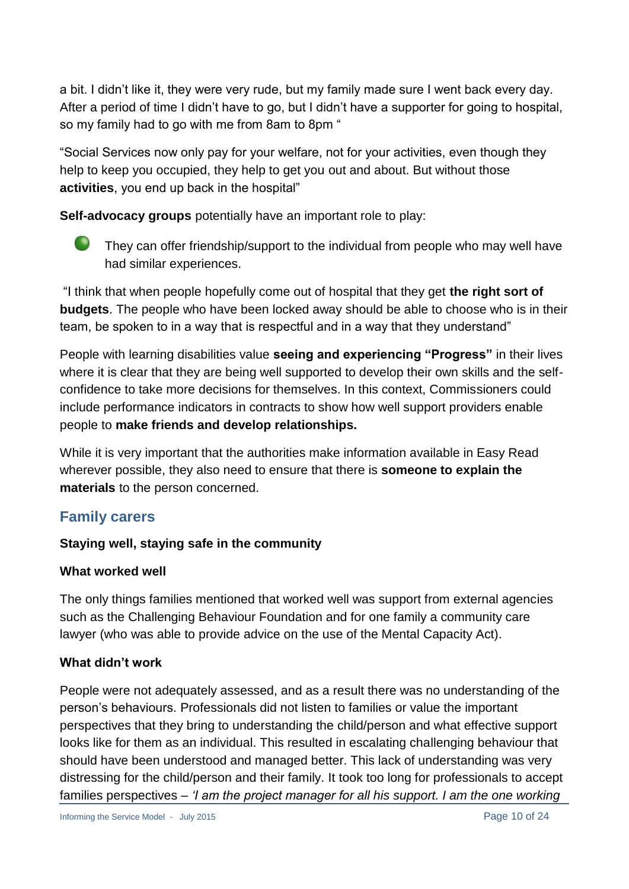a bit. I didn't like it, they were very rude, but my family made sure I went back every day. After a period of time I didn't have to go, but I didn't have a supporter for going to hospital, so my family had to go with me from 8am to 8pm "

"Social Services now only pay for your welfare, not for your activities, even though they help to keep you occupied, they help to get you out and about. But without those **activities**, you end up back in the hospital"

**Self-advocacy groups** potentially have an important role to play:



They can offer friendship/support to the individual from people who may well have had similar experiences.

"I think that when people hopefully come out of hospital that they get **the right sort of budgets**. The people who have been locked away should be able to choose who is in their team, be spoken to in a way that is respectful and in a way that they understand"

People with learning disabilities value **seeing and experiencing "Progress"** in their lives where it is clear that they are being well supported to develop their own skills and the selfconfidence to take more decisions for themselves. In this context, Commissioners could include performance indicators in contracts to show how well support providers enable people to **make friends and develop relationships.**

While it is very important that the authorities make information available in Easy Read wherever possible, they also need to ensure that there is **someone to explain the materials** to the person concerned.

## **Family carers**

## **Staying well, staying safe in the community**

### **What worked well**

The only things families mentioned that worked well was support from external agencies such as the Challenging Behaviour Foundation and for one family a community care lawyer (who was able to provide advice on the use of the Mental Capacity Act).

## **What didn't work**

People were not adequately assessed, and as a result there was no understanding of the person's behaviours. Professionals did not listen to families or value the important perspectives that they bring to understanding the child/person and what effective support looks like for them as an individual. This resulted in escalating challenging behaviour that should have been understood and managed better. This lack of understanding was very distressing for the child/person and their family. It took too long for professionals to accept families perspectives – *'I am the project manager for all his support. I am the one working*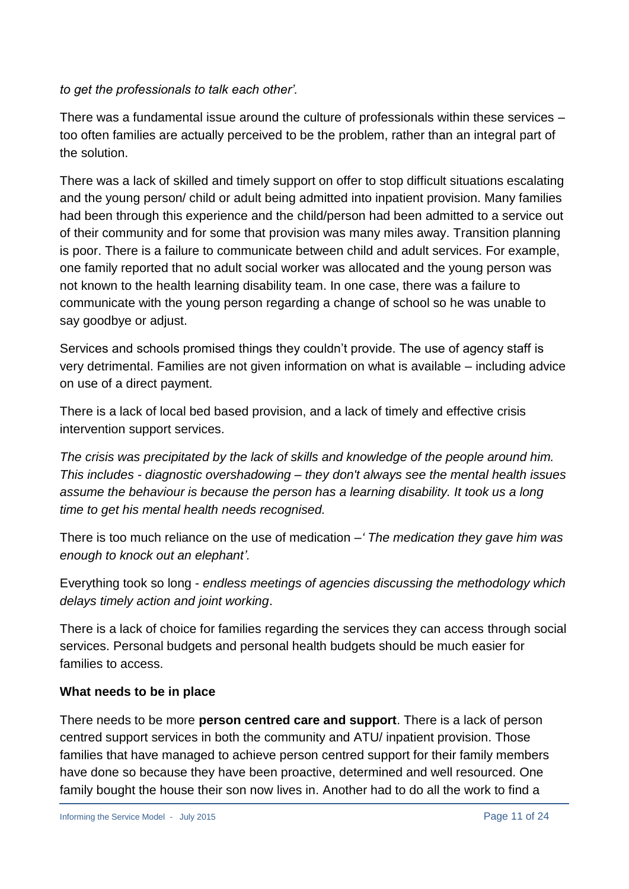#### *to get the professionals to talk each other'.*

There was a fundamental issue around the culture of professionals within these services – too often families are actually perceived to be the problem, rather than an integral part of the solution.

There was a lack of skilled and timely support on offer to stop difficult situations escalating and the young person/ child or adult being admitted into inpatient provision. Many families had been through this experience and the child/person had been admitted to a service out of their community and for some that provision was many miles away. Transition planning is poor. There is a failure to communicate between child and adult services. For example, one family reported that no adult social worker was allocated and the young person was not known to the health learning disability team. In one case, there was a failure to communicate with the young person regarding a change of school so he was unable to say goodbye or adjust.

Services and schools promised things they couldn't provide. The use of agency staff is very detrimental. Families are not given information on what is available – including advice on use of a direct payment.

There is a lack of local bed based provision, and a lack of timely and effective crisis intervention support services.

*The crisis was precipitated by the lack of skills and knowledge of the people around him. This includes - diagnostic overshadowing – they don't always see the mental health issues assume the behaviour is because the person has a learning disability. It took us a long time to get his mental health needs recognised.*

There is too much reliance on the use of medication *–' The medication they gave him was enough to knock out an elephant'.*

Everything took so long - *endless meetings of agencies discussing the methodology which delays timely action and joint working*.

There is a lack of choice for families regarding the services they can access through social services. Personal budgets and personal health budgets should be much easier for families to access.

### **What needs to be in place**

There needs to be more **person centred care and support**. There is a lack of person centred support services in both the community and ATU/ inpatient provision. Those families that have managed to achieve person centred support for their family members have done so because they have been proactive, determined and well resourced. One family bought the house their son now lives in. Another had to do all the work to find a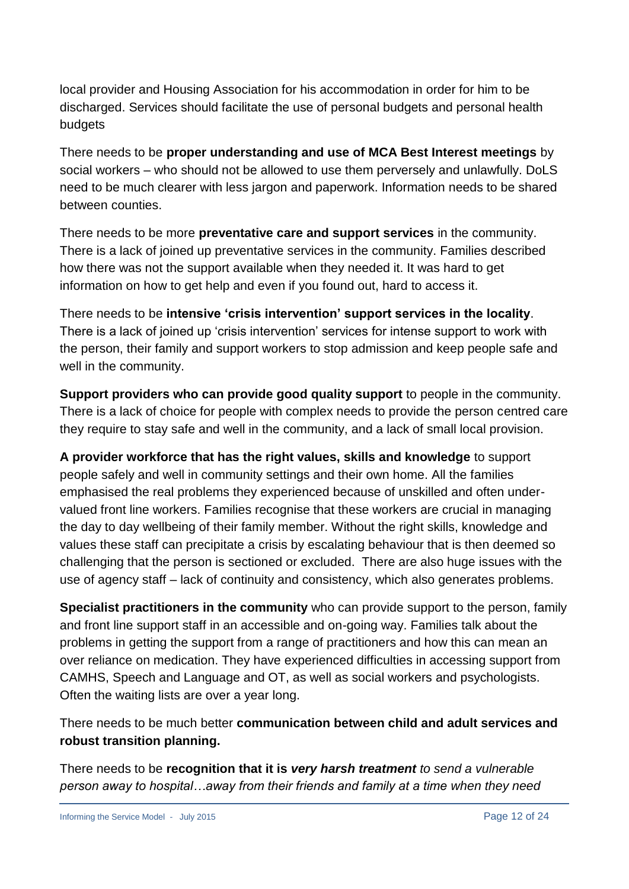local provider and Housing Association for his accommodation in order for him to be discharged. Services should facilitate the use of personal budgets and personal health budgets

There needs to be **proper understanding and use of MCA Best Interest meetings** by social workers – who should not be allowed to use them perversely and unlawfully. DoLS need to be much clearer with less jargon and paperwork. Information needs to be shared between counties.

There needs to be more **preventative care and support services** in the community. There is a lack of joined up preventative services in the community. Families described how there was not the support available when they needed it. It was hard to get information on how to get help and even if you found out, hard to access it.

There needs to be **intensive 'crisis intervention' support services in the locality**. There is a lack of joined up 'crisis intervention' services for intense support to work with the person, their family and support workers to stop admission and keep people safe and well in the community.

**Support providers who can provide good quality support** to people in the community. There is a lack of choice for people with complex needs to provide the person centred care they require to stay safe and well in the community, and a lack of small local provision.

**A provider workforce that has the right values, skills and knowledge** to support people safely and well in community settings and their own home. All the families emphasised the real problems they experienced because of unskilled and often undervalued front line workers. Families recognise that these workers are crucial in managing the day to day wellbeing of their family member. Without the right skills, knowledge and values these staff can precipitate a crisis by escalating behaviour that is then deemed so challenging that the person is sectioned or excluded. There are also huge issues with the use of agency staff – lack of continuity and consistency, which also generates problems.

**Specialist practitioners in the community** who can provide support to the person, family and front line support staff in an accessible and on-going way. Families talk about the problems in getting the support from a range of practitioners and how this can mean an over reliance on medication. They have experienced difficulties in accessing support from CAMHS, Speech and Language and OT, as well as social workers and psychologists. Often the waiting lists are over a year long.

There needs to be much better **communication between child and adult services and robust transition planning.**

There needs to be **recognition that it is** *very harsh treatment to send a vulnerable person away to hospital…away from their friends and family at a time when they need*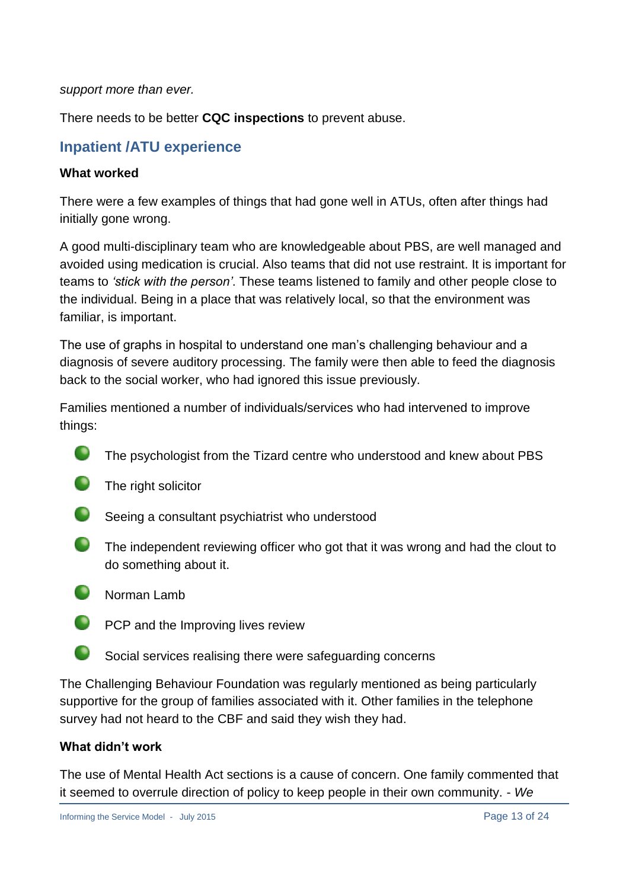#### *support more than ever.*

There needs to be better **CQC inspections** to prevent abuse.

## **Inpatient /ATU experience**

#### **What worked**

There were a few examples of things that had gone well in ATUs, often after things had initially gone wrong.

A good multi-disciplinary team who are knowledgeable about PBS, are well managed and avoided using medication is crucial. Also teams that did not use restraint. It is important for teams to *'stick with the person'*. These teams listened to family and other people close to the individual. Being in a place that was relatively local, so that the environment was familiar, is important.

The use of graphs in hospital to understand one man's challenging behaviour and a diagnosis of severe auditory processing. The family were then able to feed the diagnosis back to the social worker, who had ignored this issue previously.

Families mentioned a number of individuals/services who had intervened to improve things:

- The psychologist from the Tizard centre who understood and knew about PBS
- **O** The right solicitor
- Seeing a consultant psychiatrist who understood
- The independent reviewing officer who got that it was wrong and had the clout to do something about it.
- $\bullet$ Norman Lamb
- **PCP** and the Improving lives review
- **Social services realising there were safeguarding concerns**

The Challenging Behaviour Foundation was regularly mentioned as being particularly supportive for the group of families associated with it. Other families in the telephone survey had not heard to the CBF and said they wish they had.

#### **What didn't work**

The use of Mental Health Act sections is a cause of concern. One family commented that it seemed to overrule direction of policy to keep people in their own community. - *We*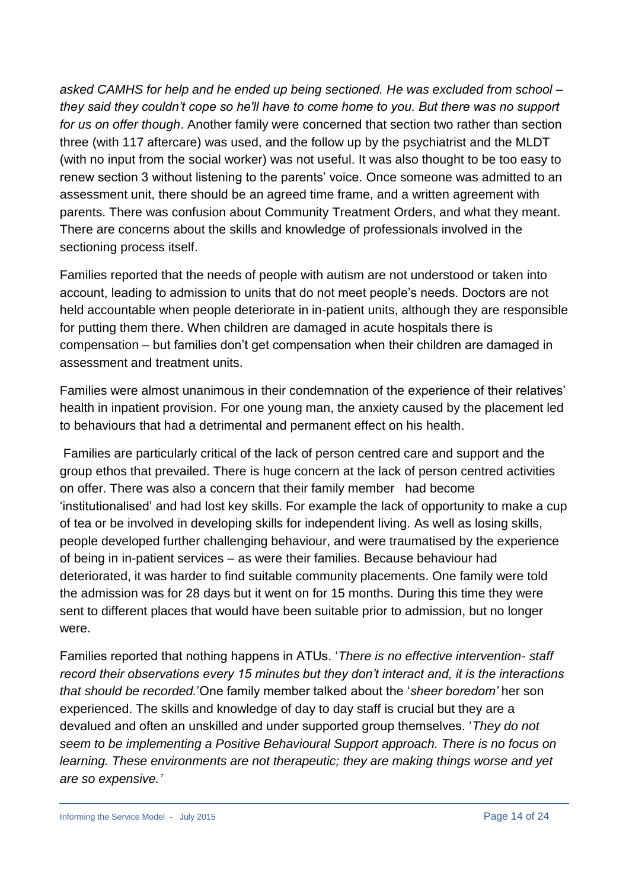*asked CAMHS for help and he ended up being sectioned. He was excluded from school – they said they couldn't cope so he'll have to come home to you. But there was no support for us on offer though*. Another family were concerned that section two rather than section three (with 117 aftercare) was used, and the follow up by the psychiatrist and the MLDT (with no input from the social worker) was not useful. It was also thought to be too easy to renew section 3 without listening to the parents' voice. Once someone was admitted to an assessment unit, there should be an agreed time frame, and a written agreement with parents. There was confusion about Community Treatment Orders, and what they meant. There are concerns about the skills and knowledge of professionals involved in the sectioning process itself.

Families reported that the needs of people with autism are not understood or taken into account, leading to admission to units that do not meet people's needs. Doctors are not held accountable when people deteriorate in in-patient units, although they are responsible for putting them there. When children are damaged in acute hospitals there is compensation – but families don't get compensation when their children are damaged in assessment and treatment units.

Families were almost unanimous in their condemnation of the experience of their relatives' health in inpatient provision. For one young man, the anxiety caused by the placement led to behaviours that had a detrimental and permanent effect on his health.

Families are particularly critical of the lack of person centred care and support and the group ethos that prevailed. There is huge concern at the lack of person centred activities on offer. There was also a concern that their family member had become 'institutionalised' and had lost key skills. For example the lack of opportunity to make a cup of tea or be involved in developing skills for independent living. As well as losing skills, people developed further challenging behaviour, and were traumatised by the experience of being in in-patient services – as were their families. Because behaviour had deteriorated, it was harder to find suitable community placements. One family were told the admission was for 28 days but it went on for 15 months. During this time they were sent to different places that would have been suitable prior to admission, but no longer were.

Families reported that nothing happens in ATUs. '*There is no effective intervention- staff record their observations every 15 minutes but they don't interact and, it is the interactions that should be recorded.*'One family member talked about the '*sheer boredom'* her son experienced. The skills and knowledge of day to day staff is crucial but they are a devalued and often an unskilled and under supported group themselves. '*They do not seem to be implementing a Positive Behavioural Support approach. There is no focus on learning. These environments are not therapeutic; they are making things worse and yet are so expensive.'*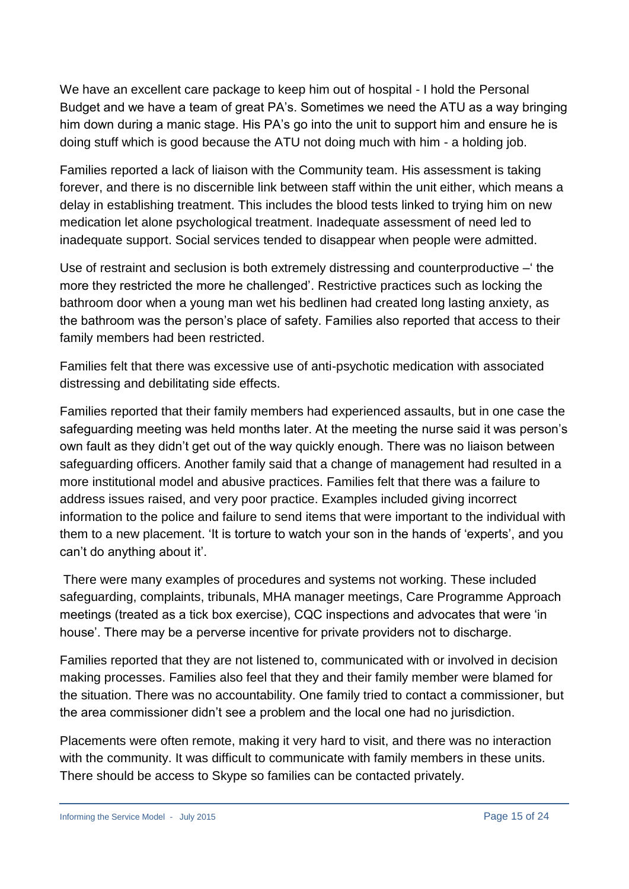We have an excellent care package to keep him out of hospital - I hold the Personal Budget and we have a team of great PA's. Sometimes we need the ATU as a way bringing him down during a manic stage. His PA's go into the unit to support him and ensure he is doing stuff which is good because the ATU not doing much with him - a holding job.

Families reported a lack of liaison with the Community team. His assessment is taking forever, and there is no discernible link between staff within the unit either, which means a delay in establishing treatment. This includes the blood tests linked to trying him on new medication let alone psychological treatment. Inadequate assessment of need led to inadequate support. Social services tended to disappear when people were admitted.

Use of restraint and seclusion is both extremely distressing and counterproductive –' the more they restricted the more he challenged'. Restrictive practices such as locking the bathroom door when a young man wet his bedlinen had created long lasting anxiety, as the bathroom was the person's place of safety. Families also reported that access to their family members had been restricted.

Families felt that there was excessive use of anti-psychotic medication with associated distressing and debilitating side effects.

Families reported that their family members had experienced assaults, but in one case the safeguarding meeting was held months later. At the meeting the nurse said it was person's own fault as they didn't get out of the way quickly enough. There was no liaison between safeguarding officers. Another family said that a change of management had resulted in a more institutional model and abusive practices. Families felt that there was a failure to address issues raised, and very poor practice. Examples included giving incorrect information to the police and failure to send items that were important to the individual with them to a new placement. 'It is torture to watch your son in the hands of 'experts', and you can't do anything about it'.

There were many examples of procedures and systems not working. These included safeguarding, complaints, tribunals, MHA manager meetings, Care Programme Approach meetings (treated as a tick box exercise), CQC inspections and advocates that were 'in house'. There may be a perverse incentive for private providers not to discharge.

Families reported that they are not listened to, communicated with or involved in decision making processes. Families also feel that they and their family member were blamed for the situation. There was no accountability. One family tried to contact a commissioner, but the area commissioner didn't see a problem and the local one had no jurisdiction.

Placements were often remote, making it very hard to visit, and there was no interaction with the community. It was difficult to communicate with family members in these units. There should be access to Skype so families can be contacted privately.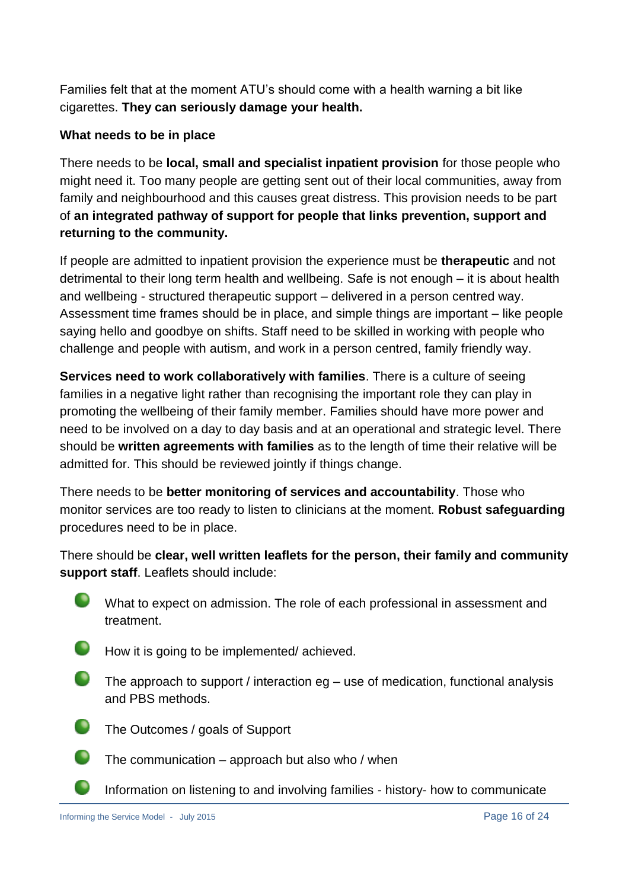Families felt that at the moment ATU's should come with a health warning a bit like cigarettes. **They can seriously damage your health.**

### **What needs to be in place**

There needs to be **local, small and specialist inpatient provision** for those people who might need it. Too many people are getting sent out of their local communities, away from family and neighbourhood and this causes great distress. This provision needs to be part of **an integrated pathway of support for people that links prevention, support and returning to the community.**

If people are admitted to inpatient provision the experience must be **therapeutic** and not detrimental to their long term health and wellbeing. Safe is not enough – it is about health and wellbeing - structured therapeutic support – delivered in a person centred way. Assessment time frames should be in place, and simple things are important – like people saying hello and goodbye on shifts. Staff need to be skilled in working with people who challenge and people with autism, and work in a person centred, family friendly way.

**Services need to work collaboratively with families**. There is a culture of seeing families in a negative light rather than recognising the important role they can play in promoting the wellbeing of their family member. Families should have more power and need to be involved on a day to day basis and at an operational and strategic level. There should be **written agreements with families** as to the length of time their relative will be admitted for. This should be reviewed jointly if things change.

There needs to be **better monitoring of services and accountability**. Those who monitor services are too ready to listen to clinicians at the moment. **Robust safeguarding** procedures need to be in place.

There should be **clear, well written leaflets for the person, their family and community support staff**. Leaflets should include:



What to expect on admission. The role of each professional in assessment and treatment.

- $\bullet$ How it is going to be implemented/ achieved.
- $\bullet$ The approach to support / interaction eg – use of medication, functional analysis and PBS methods.
	- The Outcomes / goals of Support



- The communication approach but also who / when
- Information on listening to and involving families history- how to communicate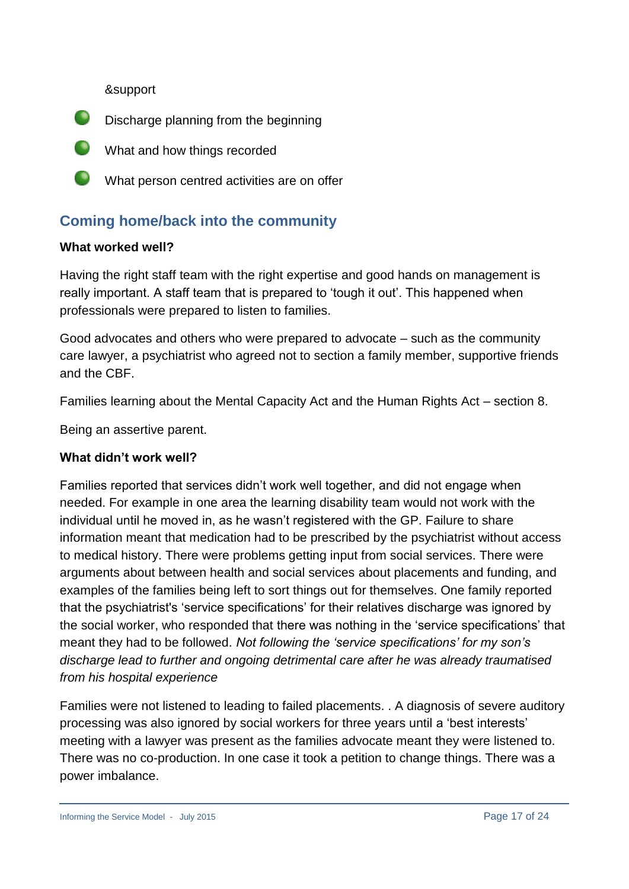&support



- What and how things recorded
- What person centred activities are on offer

## **Coming home/back into the community**

#### **What worked well?**

Having the right staff team with the right expertise and good hands on management is really important. A staff team that is prepared to 'tough it out'. This happened when professionals were prepared to listen to families.

Good advocates and others who were prepared to advocate – such as the community care lawyer, a psychiatrist who agreed not to section a family member, supportive friends and the CBF.

Families learning about the Mental Capacity Act and the Human Rights Act – section 8.

Being an assertive parent.

### **What didn't work well?**

Families reported that services didn't work well together, and did not engage when needed. For example in one area the learning disability team would not work with the individual until he moved in, as he wasn't registered with the GP. Failure to share information meant that medication had to be prescribed by the psychiatrist without access to medical history. There were problems getting input from social services. There were arguments about between health and social services about placements and funding, and examples of the families being left to sort things out for themselves. One family reported that the psychiatrist's 'service specifications' for their relatives discharge was ignored by the social worker, who responded that there was nothing in the 'service specifications' that meant they had to be followed. *Not following the 'service specifications' for my son's discharge lead to further and ongoing detrimental care after he was already traumatised from his hospital experience*

Families were not listened to leading to failed placements. . A diagnosis of severe auditory processing was also ignored by social workers for three years until a 'best interests' meeting with a lawyer was present as the families advocate meant they were listened to. There was no co-production. In one case it took a petition to change things. There was a power imbalance.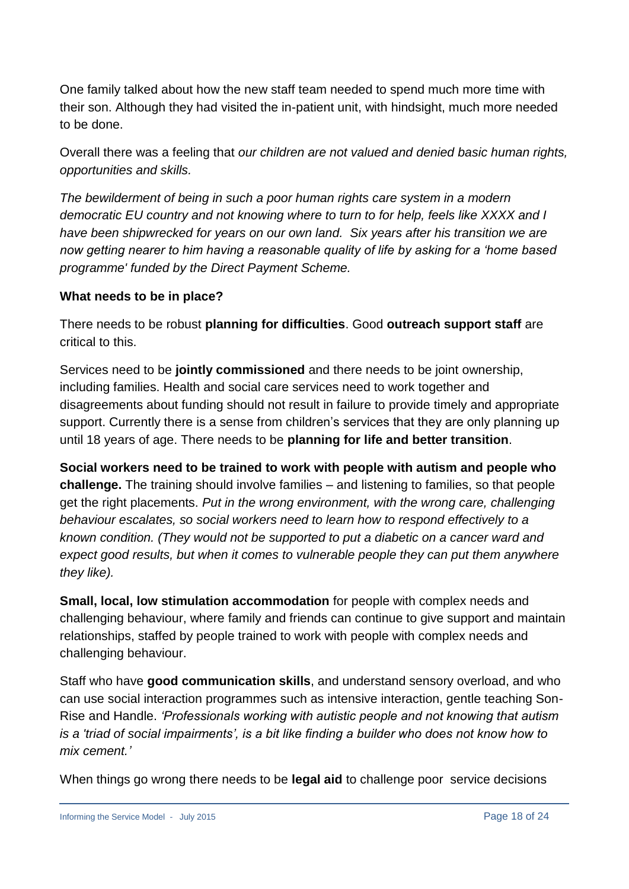One family talked about how the new staff team needed to spend much more time with their son. Although they had visited the in-patient unit, with hindsight, much more needed to be done.

Overall there was a feeling that *our children are not valued and denied basic human rights, opportunities and skills.*

*The bewilderment of being in such a poor human rights care system in a modern democratic EU country and not knowing where to turn to for help, feels like XXXX and I have been shipwrecked for years on our own land. Six years after his transition we are now getting nearer to him having a reasonable quality of life by asking for a 'home based programme' funded by the Direct Payment Scheme.*

### **What needs to be in place?**

There needs to be robust **planning for difficulties**. Good **outreach support staff** are critical to this.

Services need to be **jointly commissioned** and there needs to be joint ownership, including families. Health and social care services need to work together and disagreements about funding should not result in failure to provide timely and appropriate support. Currently there is a sense from children's services that they are only planning up until 18 years of age. There needs to be **planning for life and better transition**.

**Social workers need to be trained to work with people with autism and people who challenge.** The training should involve families – and listening to families, so that people get the right placements. *Put in the wrong environment, with the wrong care, challenging behaviour escalates, so social workers need to learn how to respond effectively to a known condition. (They would not be supported to put a diabetic on a cancer ward and expect good results, but when it comes to vulnerable people they can put them anywhere they like).*

**Small, local, low stimulation accommodation** for people with complex needs and challenging behaviour, where family and friends can continue to give support and maintain relationships, staffed by people trained to work with people with complex needs and challenging behaviour.

Staff who have **good communication skills**, and understand sensory overload, and who can use social interaction programmes such as intensive interaction, gentle teaching Son-Rise and Handle. *'Professionals working with autistic people and not knowing that autism is a 'triad of social impairments', is a bit like finding a builder who does not know how to mix cement.'*

When things go wrong there needs to be **legal aid** to challenge poor service decisions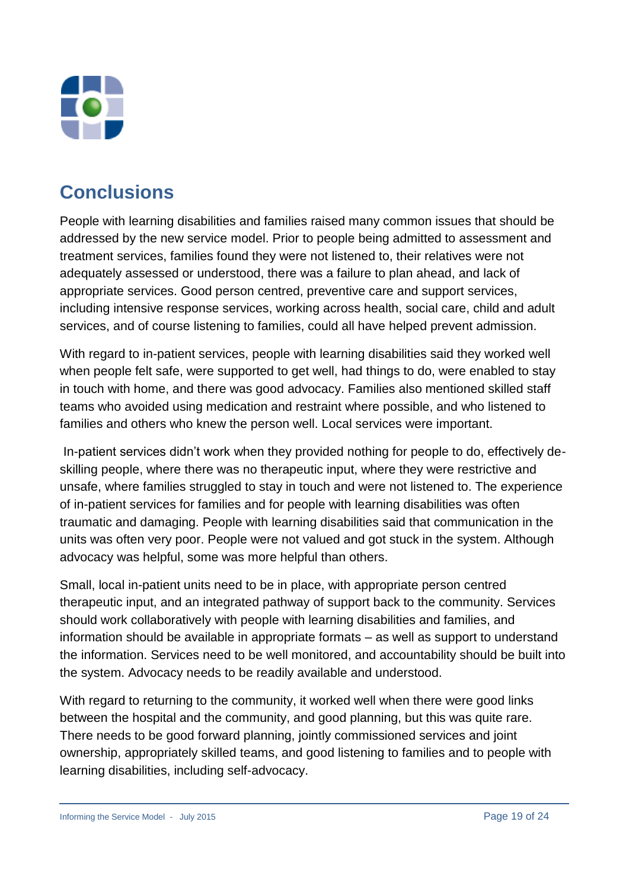

## **Conclusions**

People with learning disabilities and families raised many common issues that should be addressed by the new service model. Prior to people being admitted to assessment and treatment services, families found they were not listened to, their relatives were not adequately assessed or understood, there was a failure to plan ahead, and lack of appropriate services. Good person centred, preventive care and support services, including intensive response services, working across health, social care, child and adult services, and of course listening to families, could all have helped prevent admission.

With regard to in-patient services, people with learning disabilities said they worked well when people felt safe, were supported to get well, had things to do, were enabled to stay in touch with home, and there was good advocacy. Families also mentioned skilled staff teams who avoided using medication and restraint where possible, and who listened to families and others who knew the person well. Local services were important.

In-patient services didn't work when they provided nothing for people to do, effectively deskilling people, where there was no therapeutic input, where they were restrictive and unsafe, where families struggled to stay in touch and were not listened to. The experience of in-patient services for families and for people with learning disabilities was often traumatic and damaging. People with learning disabilities said that communication in the units was often very poor. People were not valued and got stuck in the system. Although advocacy was helpful, some was more helpful than others.

Small, local in-patient units need to be in place, with appropriate person centred therapeutic input, and an integrated pathway of support back to the community. Services should work collaboratively with people with learning disabilities and families, and information should be available in appropriate formats – as well as support to understand the information. Services need to be well monitored, and accountability should be built into the system. Advocacy needs to be readily available and understood.

With regard to returning to the community, it worked well when there were good links between the hospital and the community, and good planning, but this was quite rare. There needs to be good forward planning, jointly commissioned services and joint ownership, appropriately skilled teams, and good listening to families and to people with learning disabilities, including self-advocacy.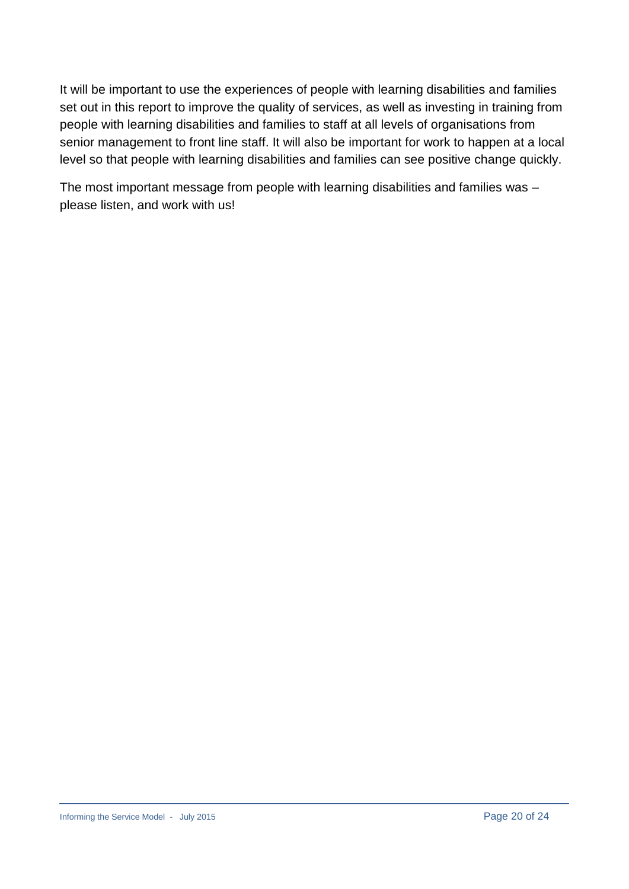It will be important to use the experiences of people with learning disabilities and families set out in this report to improve the quality of services, as well as investing in training from people with learning disabilities and families to staff at all levels of organisations from senior management to front line staff. It will also be important for work to happen at a local level so that people with learning disabilities and families can see positive change quickly.

The most important message from people with learning disabilities and families was – please listen, and work with us!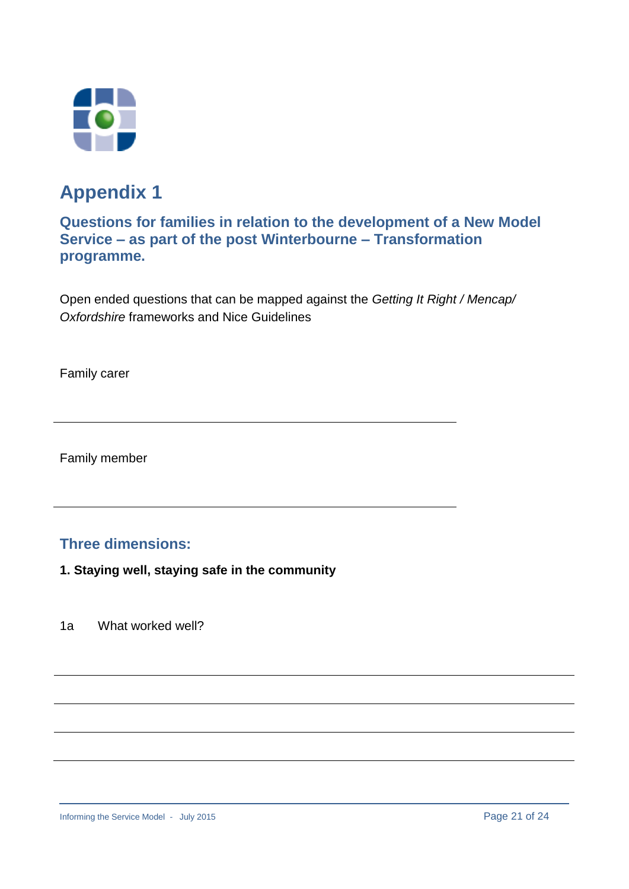



## **Questions for families in relation to the development of a New Model Service – as part of the post Winterbourne – Transformation programme.**

Open ended questions that can be mapped against the *Getting It Right / Mencap/ Oxfordshire* frameworks and Nice Guidelines

Family carer

Family member

## **Three dimensions:**

- **1. Staying well, staying safe in the community**
- 1a What worked well?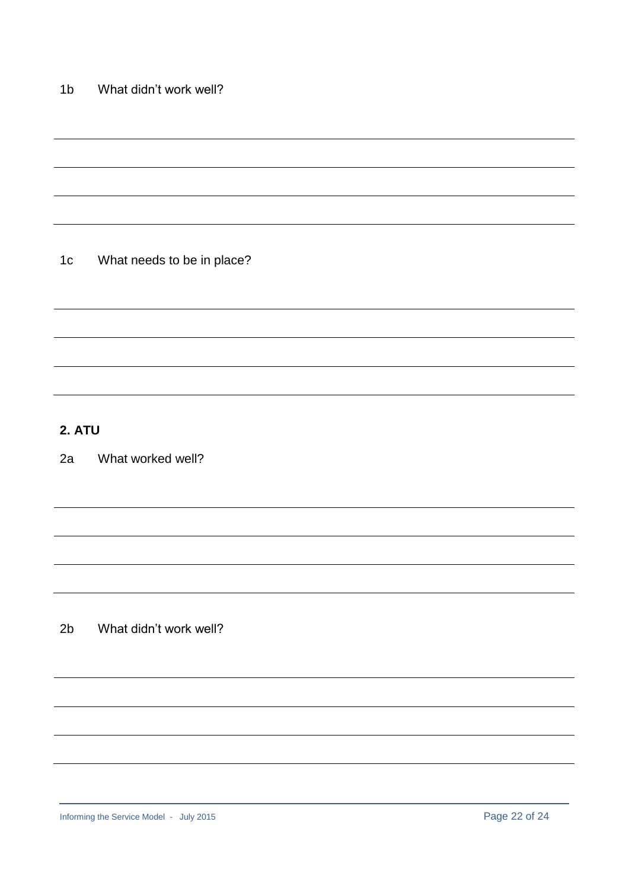1c What needs to be in place?

## **2. ATU**

2a What worked well?

2b What didn't work well?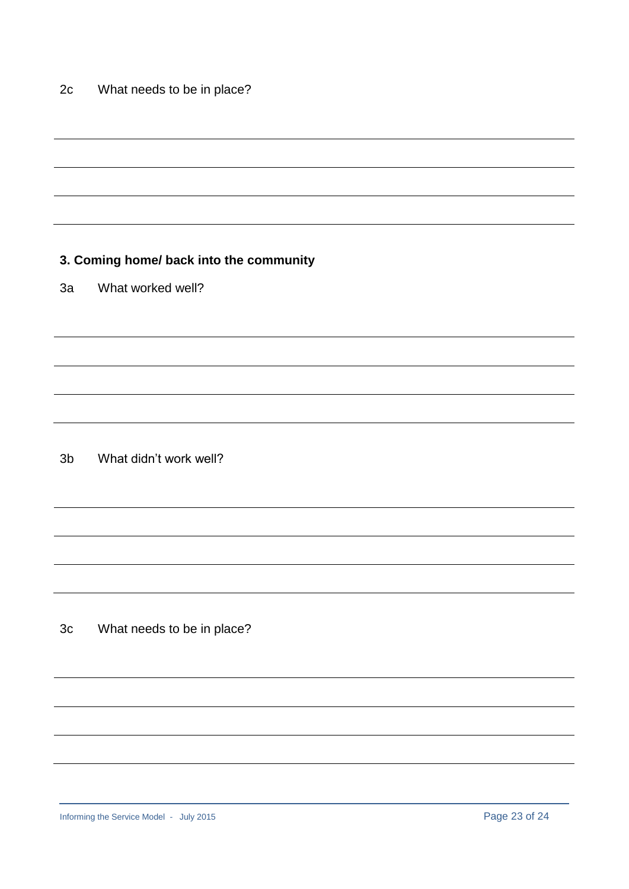### **3. Coming home/ back into the community**

3a What worked well?

3b What didn't work well?

3c What needs to be in place?